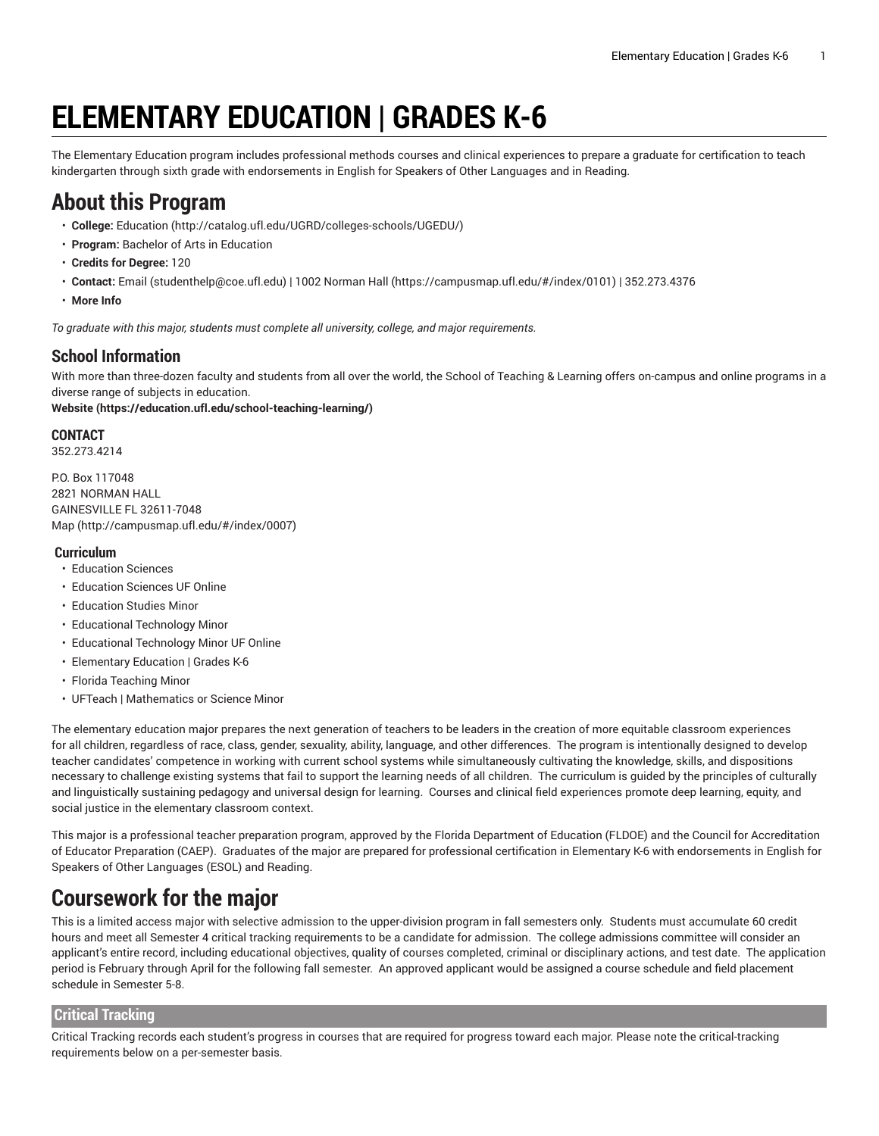# **ELEMENTARY EDUCATION | GRADES K-6**

The Elementary Education program includes professional methods courses and clinical experiences to prepare a graduate for certification to teach kindergarten through sixth grade with endorsements in English for Speakers of Other Languages and in Reading.

# **About this Program**

- **College:** [Education](http://catalog.ufl.edu/UGRD/colleges-schools/UGEDU/) (<http://catalog.ufl.edu/UGRD/colleges-schools/UGEDU/>)
- **Program:** Bachelor of Arts in Education
- **Credits for Degree:** 120
- **Contact:** [Email](mailto:studenthelp@coe.ufl.edu) [\(studenthelp@coe.ufl.edu](studenthelp@coe.ufl.edu)) | [1002 Norman Hall \(https://campusmap.ufl.edu/#/index/0101\)](https://campusmap.ufl.edu/#/index/0101) | 352.273.4376
- **More Info**

*To graduate with this major, students must complete all university, college, and major requirements.*

### **School Information**

With more than three-dozen faculty and students from all over the world, the School of Teaching & Learning offers on-campus and online programs in a diverse range of subjects in education.

**[Website](https://education.ufl.edu/school-teaching-learning/) (<https://education.ufl.edu/school-teaching-learning/>)**

#### **CONTACT**

352.273.4214

P.O. Box 117048 2821 NORMAN HALL GAINESVILLE FL 32611-7048 [Map](http://campusmap.ufl.edu/#/index/0007) ([http://campusmap.ufl.edu/#/index/0007\)](http://campusmap.ufl.edu/#/index/0007)

#### **Curriculum**

- Education Sciences
- Education Sciences UF Online
- Education Studies Minor
- Educational Technology Minor
- Educational Technology Minor UF Online
- Elementary Education | Grades K-6
- Florida Teaching Minor
- UFTeach | Mathematics or Science Minor

The elementary education major prepares the next generation of teachers to be leaders in the creation of more equitable classroom experiences for all children, regardless of race, class, gender, sexuality, ability, language, and other differences. The program is intentionally designed to develop teacher candidates' competence in working with current school systems while simultaneously cultivating the knowledge, skills, and dispositions necessary to challenge existing systems that fail to support the learning needs of all children. The curriculum is guided by the principles of culturally and linguistically sustaining pedagogy and universal design for learning. Courses and clinical field experiences promote deep learning, equity, and social justice in the elementary classroom context.

This major is a professional teacher preparation program, approved by the Florida Department of Education (FLDOE) and the Council for Accreditation of Educator Preparation (CAEP). Graduates of the major are prepared for professional certification in Elementary K-6 with endorsements in English for Speakers of Other Languages (ESOL) and Reading.

# **Coursework for the major**

This is a limited access major with selective admission to the upper-division program in fall semesters only. Students must accumulate 60 credit hours and meet all Semester 4 critical tracking requirements to be a candidate for admission. The college admissions committee will consider an applicant's entire record, including educational objectives, quality of courses completed, criminal or disciplinary actions, and test date. The application period is February through April for the following fall semester. An approved applicant would be assigned a course schedule and field placement schedule in Semester 5-8.

### **Critical Tracking**

Critical Tracking records each student's progress in courses that are required for progress toward each major. Please note the critical-tracking requirements below on a per-semester basis.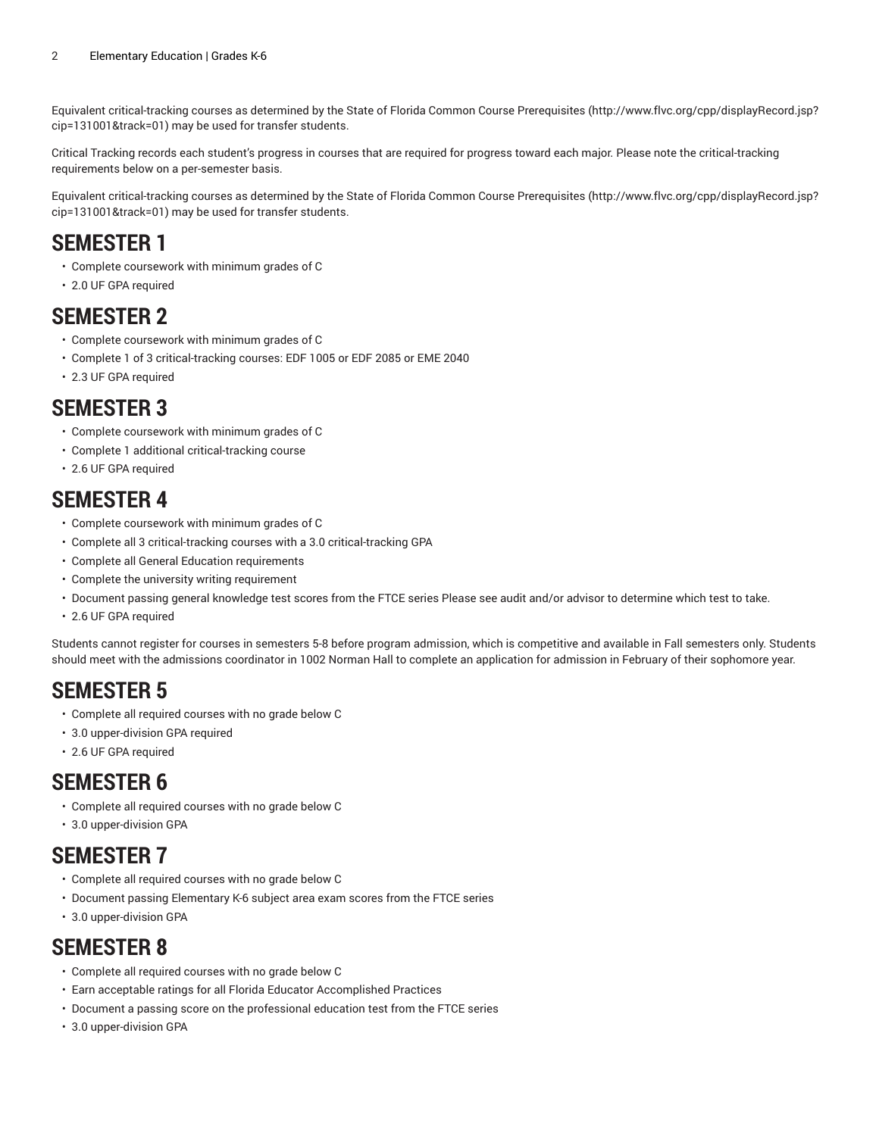Equivalent critical-tracking courses as determined by the State of Florida Common Course [Prerequisites](http://www.flvc.org/cpp/displayRecord.jsp?cip=131001&track=01) ([http://www.flvc.org/cpp/displayRecord.jsp?](http://www.flvc.org/cpp/displayRecord.jsp?cip=131001&track=01) [cip=131001&track=01\)](http://www.flvc.org/cpp/displayRecord.jsp?cip=131001&track=01) may be used for transfer students.

Critical Tracking records each student's progress in courses that are required for progress toward each major. Please note the critical-tracking requirements below on a per-semester basis.

Equivalent critical-tracking courses as determined by the State of Florida Common Course [Prerequisites](http://www.flvc.org/cpp/displayRecord.jsp?cip=131001&track=01) ([http://www.flvc.org/cpp/displayRecord.jsp?](http://www.flvc.org/cpp/displayRecord.jsp?cip=131001&track=01) [cip=131001&track=01\)](http://www.flvc.org/cpp/displayRecord.jsp?cip=131001&track=01) may be used for transfer students.

# **SEMESTER 1**

- Complete coursework with minimum grades of C
- 2.0 UF GPA required

### **SEMESTER 2**

- Complete coursework with minimum grades of C
- Complete 1 of 3 critical-tracking courses: EDF 1005 or EDF 2085 or EME 2040
- 2.3 UF GPA required

# **SEMESTER 3**

- Complete coursework with minimum grades of C
- Complete 1 additional critical-tracking course
- 2.6 UF GPA required

### **SEMESTER 4**

- Complete coursework with minimum grades of C
- Complete all 3 critical-tracking courses with a 3.0 critical-tracking GPA
- Complete all General Education requirements
- Complete the university writing requirement
- Document passing general knowledge test scores from the FTCE series Please see audit and/or advisor to determine which test to take.
- 2.6 UF GPA required

Students cannot register for courses in semesters 5-8 before program admission, which is competitive and available in Fall semesters only. Students should meet with the admissions coordinator in 1002 Norman Hall to complete an application for admission in February of their sophomore year.

# **SEMESTER 5**

- Complete all required courses with no grade below C
- 3.0 upper-division GPA required
- 2.6 UF GPA required

### **SEMESTER 6**

- Complete all required courses with no grade below C
- 3.0 upper-division GPA

# **SEMESTER 7**

- Complete all required courses with no grade below C
- Document passing Elementary K-6 subject area exam scores from the FTCE series
- 3.0 upper-division GPA

### **SEMESTER 8**

- Complete all required courses with no grade below C
- Earn acceptable ratings for all Florida Educator Accomplished Practices
- Document a passing score on the professional education test from the FTCE series
- 3.0 upper-division GPA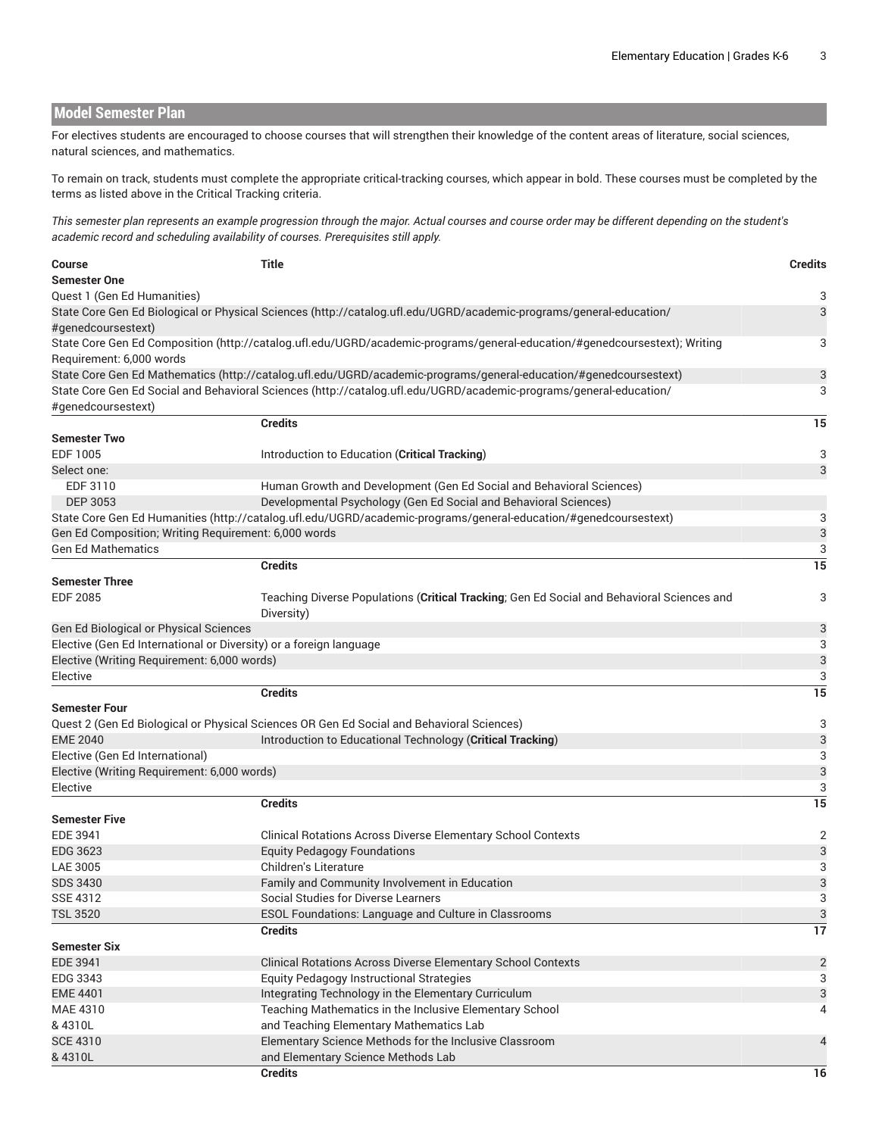**Model Semester Plan** For electives students are encouraged to choose courses that will strengthen their knowledge of the content areas of literature, social sciences, natural sciences, and mathematics. To remain on track, students must complete the appropriate critical-tracking courses, which appear in bold. These courses must be completed by the terms as listed above in the Critical Tracking criteria. This semester plan represents an example progression through the major. Actual courses and course order may be different depending on the student's *academic record and scheduling availability of courses. Prerequisites still apply.* **Course Title Credits Semester One** Quest 1 (Gen Ed Humanities) 3 State Core Gen Ed [Biological](http://catalog.ufl.edu/UGRD/academic-programs/general-education/#genedcoursestext) or Physical Sciences [\(http://catalog.ufl.edu/UGRD/academic-programs/general-education/](http://catalog.ufl.edu/UGRD/academic-programs/general-education/#genedcoursestext) [#genedcoursestext](http://catalog.ufl.edu/UGRD/academic-programs/general-education/#genedcoursestext)) 3 State Core Gen Ed [Composition \(http://catalog.ufl.edu/UGRD/academic-programs/general-education/#genedcoursestext\)](http://catalog.ufl.edu/UGRD/academic-programs/general-education/#genedcoursestext); Writing Requirement: 6,000 words 3 State Core Gen Ed [Mathematics](http://catalog.ufl.edu/UGRD/academic-programs/general-education/#genedcoursestext) [\(http://catalog.ufl.edu/UGRD/academic-programs/general-education/#genedcoursestext\)](http://catalog.ufl.edu/UGRD/academic-programs/general-education/#genedcoursestext) 3 State Core Gen Ed Social and [Behavioral](http://catalog.ufl.edu/UGRD/academic-programs/general-education/#genedcoursestext) Sciences ([http://catalog.ufl.edu/UGRD/academic-programs/general-education/](http://catalog.ufl.edu/UGRD/academic-programs/general-education/#genedcoursestext) [#genedcoursestext](http://catalog.ufl.edu/UGRD/academic-programs/general-education/#genedcoursestext)) 3 **Credits 15 Semester Two** EDF 1005 **Introduction to Education (Critical Tracking) CONSERVING 2018 3** Select one: 3 EDF 3110 Human Growth and Development (Gen Ed Social and Behavioral Sciences) DEP 3053 Developmental Psychology (Gen Ed Social and Behavioral Sciences) State Core Gen Ed [Humanities](http://catalog.ufl.edu/UGRD/academic-programs/general-education/#genedcoursestext) ([http://catalog.ufl.edu/UGRD/academic-programs/general-education/#genedcoursestext\)](http://catalog.ufl.edu/UGRD/academic-programs/general-education/#genedcoursestext) 3 Gen Ed Composition; Writing Requirement: 6,000 words 3 Gen Ed Mathematics 3 **Credits 15 Semester Three** EDF 2085 Teaching Diverse Populations (**Critical Tracking**; Gen Ed Social and Behavioral Sciences and Diversity) 3 Gen Ed Biological or Physical Sciences 3 Elective (Gen Ed International or Diversity) or a foreign language 3 Elective (Writing Requirement: 6,000 words) 3 extending the state of the state of the state of the state of the state of the state of the state of the state of the state of the state of the state of the state of the state of the state of the state of the state of the **Credits 15 Semester Four** Quest 2 (Gen Ed Biological or Physical Sciences OR Gen Ed Social and Behavioral Sciences) 3 EME 2040 Introduction to Educational Technology (**Critical Tracking**) 3 Elective (Gen Ed International) 3 Elective (Writing Requirement: 6,000 words) 3 extending the state of the state of the state of the state of the state of the state of the state of the state of the state of the state of the state of the state of the state of the state of the state of the state of the **Credits 15 Semester Five** EDE 3941 Clinical Rotations Across Diverse Elementary School Contexts 2 EDG 3623 Equity Pedagogy Foundations 3 LAE 3005 Children's Literature 3 SDS 3430 **SDS 3430 Family and Community Involvement in Education** 3 SSE 4312 Social Studies for Diverse Learners 3 Social Studies for Diverse Learners 3 TSL 3520 ESOL Foundations: Language and Culture in Classrooms 33 April 2014 1996 1997 1998 1999 1999 1999 1999 **Credits 17 Semester Six** EDE 3941 Clinical Rotations Across Diverse Elementary School Contexts 2 EDG 3343 Equity Pedagogy Instructional Strategies 3 EME 4401 **Integrating Technology in the Elementary Curriculum** 23 MAE 4310 & 4310L Teaching Mathematics in the Inclusive Elementary School and Teaching Elementary Mathematics Lab 4 SCE 4310 & 4310L Elementary Science Methods for the Inclusive Classroom and Elementary Science Methods Lab 4 **Credits 16**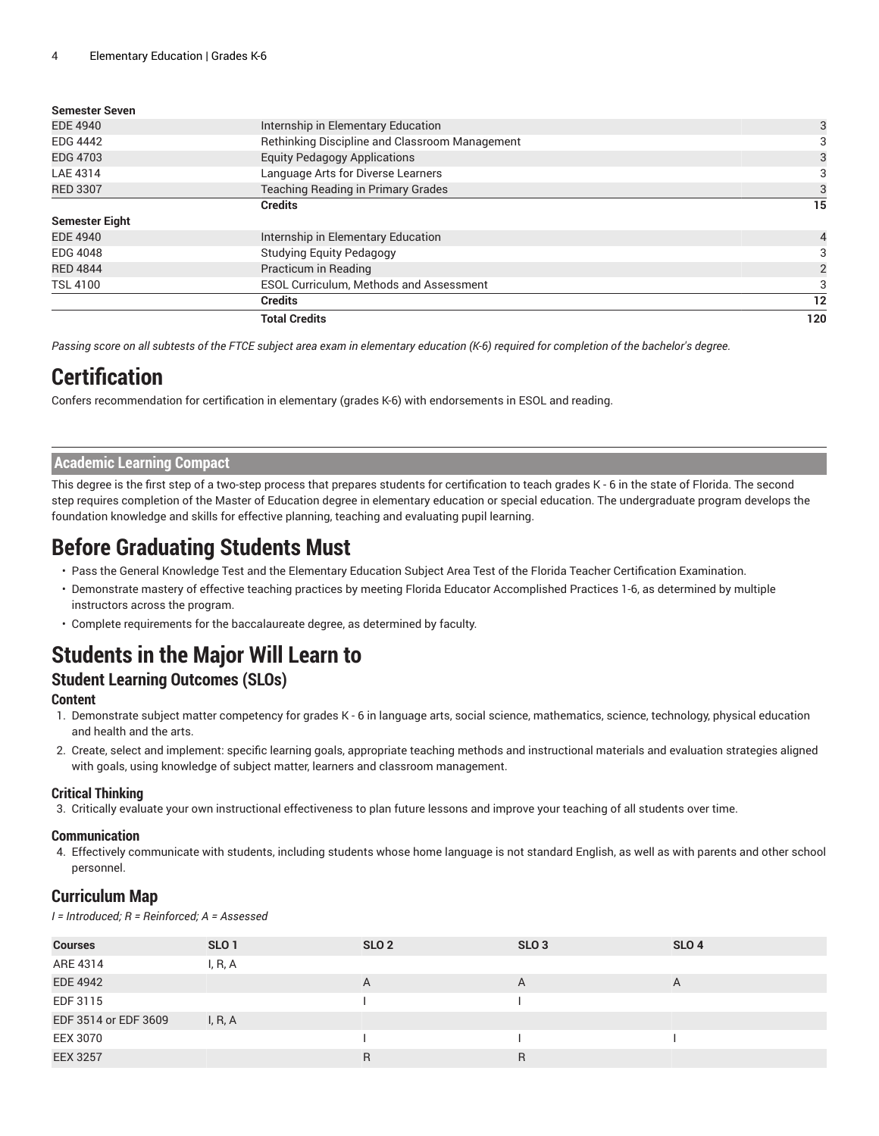#### **Semester Seven**

|                       | <b>Total Credits</b>                           | 120            |
|-----------------------|------------------------------------------------|----------------|
|                       | <b>Credits</b>                                 | 12             |
| <b>TSL 4100</b>       | ESOL Curriculum, Methods and Assessment        |                |
| <b>RED 4844</b>       | Practicum in Reading                           | $\overline{2}$ |
| <b>EDG 4048</b>       | <b>Studying Equity Pedagogy</b>                | 3              |
| <b>EDE 4940</b>       | Internship in Elementary Education             |                |
| <b>Semester Eight</b> |                                                |                |
|                       | <b>Credits</b>                                 | 15             |
| <b>RED 3307</b>       | Teaching Reading in Primary Grades             | 3              |
| LAE 4314              | Language Arts for Diverse Learners             | 3              |
| <b>EDG 4703</b>       | <b>Equity Pedagogy Applications</b>            |                |
| <b>EDG 4442</b>       | Rethinking Discipline and Classroom Management |                |
| <b>EDE 4940</b>       | Internship in Elementary Education             | 3              |
|                       |                                                |                |

Passing score on all subtests of the FTCE subject area exam in elementary education (K-6) required for completion of the bachelor's degree.

### **Certification**

Confers recommendation for certification in elementary (grades K-6) with endorsements in ESOL and reading.

#### **Academic Learning Compact**

This degree is the first step of a two-step process that prepares students for certification to teach grades K - 6 in the state of Florida. The second step requires completion of the Master of Education degree in elementary education or special education. The undergraduate program develops the foundation knowledge and skills for effective planning, teaching and evaluating pupil learning.

### **Before Graduating Students Must**

- Pass the General Knowledge Test and the Elementary Education Subject Area Test of the Florida Teacher Certification Examination.
- Demonstrate mastery of effective teaching practices by meeting Florida Educator Accomplished Practices 1-6, as determined by multiple instructors across the program.
- Complete requirements for the baccalaureate degree, as determined by faculty.

# **Students in the Major Will Learn to**

### **Student Learning Outcomes (SLOs)**

#### **Content**

- 1. Demonstrate subject matter competency for grades K 6 in language arts, social science, mathematics, science, technology, physical education and health and the arts.
- 2. Create, select and implement: specific learning goals, appropriate teaching methods and instructional materials and evaluation strategies aligned with goals, using knowledge of subject matter, learners and classroom management.

#### **Critical Thinking**

3. Critically evaluate your own instructional effectiveness to plan future lessons and improve your teaching of all students over time.

#### **Communication**

4. Effectively communicate with students, including students whose home language is not standard English, as well as with parents and other school personnel.

### **Curriculum Map**

*I = Introduced; R = Reinforced; A = Assessed*

| <b>Courses</b>       | SLO <sub>1</sub> | SLO <sub>2</sub> | SLO <sub>3</sub> | SLO <sub>4</sub> |
|----------------------|------------------|------------------|------------------|------------------|
| ARE 4314             | I, R, A          |                  |                  |                  |
| <b>EDE 4942</b>      |                  | A                | $\overline{A}$   | A                |
| EDF 3115             |                  |                  |                  |                  |
| EDF 3514 or EDF 3609 | I, R, A          |                  |                  |                  |
| EEX 3070             |                  |                  |                  |                  |
| <b>EEX 3257</b>      |                  | $\mathsf{R}$     | R                |                  |